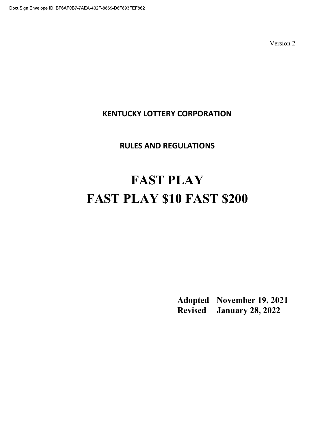# KENTUCKY LOTTERY CORPORATION

# RULES AND REGULATIONS

# FAST PLAY FAST PLAY \$10 FAST \$200

 Adopted November 19, 2021 Revised January 28, 2022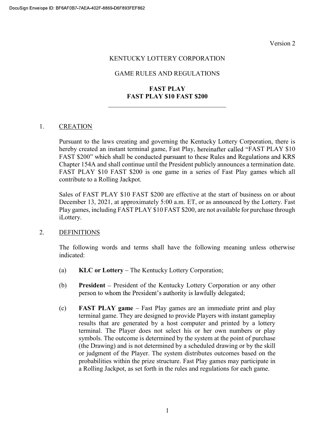#### KENTUCKY LOTTERY CORPORATION

## GAME RULES AND REGULATIONS

# FAST PLAY FAST PLAY \$10 FAST \$200

#### 1. CREATION

Pursuant to the laws creating and governing the Kentucky Lottery Corporation, there is hereby created an instant terminal game, Fast Play, hereinafter called "FAST PLAY \$10 FAST \$200" which shall be conducted pursuant to these Rules and Regulations and KRS Chapter 154A and shall continue until the President publicly announces a termination date. FAST PLAY \$10 FAST \$200 is one game in a series of Fast Play games which all contribute to a Rolling Jackpot.

Sales of FAST PLAY \$10 FAST \$200 are effective at the start of business on or about December 13, 2021, at approximately 5:00 a.m. ET, or as announced by the Lottery. Fast Play games, including FAST PLAY \$10 FAST \$200, are not available for purchase through iLottery.

#### 2. DEFINITIONS

The following words and terms shall have the following meaning unless otherwise indicated:

- (a)  $KLC$  or Lottery The Kentucky Lottery Corporation;
- (b) President President of the Kentucky Lottery Corporation or any other person to whom the President's authority is lawfully delegated;
- $\epsilon$  FAST PLAY game Fast Play games are an immediate print and play terminal game. They are designed to provide Players with instant gameplay results that are generated by a host computer and printed by a lottery terminal. The Player does not select his or her own numbers or play symbols. The outcome is determined by the system at the point of purchase (the Drawing) and is not determined by a scheduled drawing or by the skill or judgment of the Player. The system distributes outcomes based on the probabilities within the prize structure. Fast Play games may participate in a Rolling Jackpot, as set forth in the rules and regulations for each game.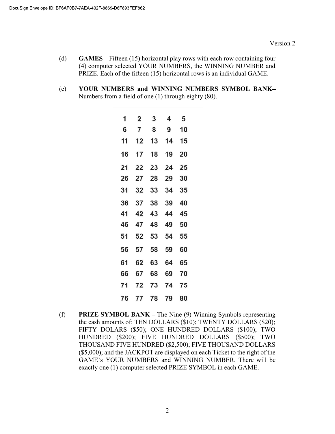- (d) GAMES Fifteen (15) horizontal play rows with each row containing four (4) computer selected YOUR NUMBERS, the WINNING NUMBER and PRIZE. Each of the fifteen (15) horizontal rows is an individual GAME.
- (e) YOUR NUMBERS and WINNING NUMBERS SYMBOL BANK Numbers from a field of one (1) through eighty (80).

| 1  | $\overline{2}$ | 3        | 4  | 5  |
|----|----------------|----------|----|----|
| 6  | $\overline{7}$ | 8        | 9  | 10 |
| 11 | 12             | 13       | 14 | 15 |
| 16 | 17             | 18       | 19 | 20 |
| 21 | 22             | 23       | 24 | 25 |
| 26 | 27             | 28       | 29 | 30 |
| 31 | 32             | 33       | 34 | 35 |
| 36 | 37             | 38       | 39 | 40 |
| 41 | 42             | 43       | 44 | 45 |
| 46 | 47             | 48       | 49 | 50 |
| 51 | 52             | 53       | 54 | 55 |
| 56 | 57             | 58       | 59 | 60 |
| 61 | 62             | 63       | 64 | 65 |
| 66 | 67             | 68       | 69 | 70 |
| 71 | 72             | 73       | 74 | 75 |
| 76 |                | 77 78 79 |    | 80 |

(f) **PRIZE SYMBOL BANK** – The Nine  $(9)$  Winning Symbols representing the cash amounts of: TEN DOLLARS (\$10); TWENTY DOLLARS (\$20); FIFTY DOLARS (\$50); ONE HUNDRED DOLLARS (\$100); TWO HUNDRED (\$200); FIVE HUNDRED DOLLARS (\$500); TWO THOUSAND FIVE HUNDRED (\$2,500); FIVE THOUSAND DOLLARS (\$5,000); and the JACKPOT are displayed on each Ticket to the right of the GAME's YOUR NUMBERS and WINNING NUMBER. There will be exactly one (1) computer selected PRIZE SYMBOL in each GAME.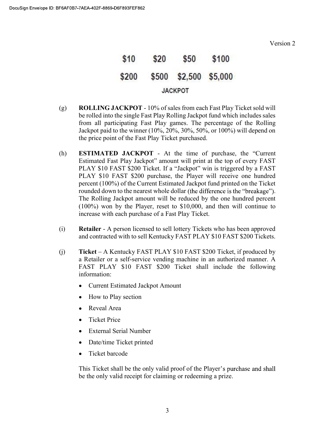

- (g) ROLLING JACKPOT 10% of sales from each Fast Play Ticket sold will be rolled into the single Fast Play Rolling Jackpot fund which includes sales from all participating Fast Play games. The percentage of the Rolling Jackpot paid to the winner  $(10\%, 20\%, 30\%, 50\%, \text{ or } 100\%)$  will depend on the price point of the Fast Play Ticket purchased.
- (h) **ESTIMATED JACKPOT** At the time of purchase, the "Current Estimated Fast Play Jackpot" amount will print at the top of every FAST PLAY \$10 FAST \$200 Ticket. If a "Jackpot" win is triggered by a FAST PLAY \$10 FAST \$200 purchase, the Player will receive one hundred percent (100%) of the Current Estimated Jackpot fund printed on the Ticket rounded down to the nearest whole dollar (the difference is the "breakage"). The Rolling Jackpot amount will be reduced by the one hundred percent (100%) won by the Player, reset to \$10,000, and then will continue to increase with each purchase of a Fast Play Ticket.
- (i) Retailer A person licensed to sell lottery Tickets who has been approved and contracted with to sell Kentucky FAST PLAY \$10 FAST \$200 Tickets.
- (j) Ticket A Kentucky FAST PLAY \$10 FAST \$200 Ticket, if produced by a Retailer or a self-service vending machine in an authorized manner. A FAST PLAY \$10 FAST \$200 Ticket shall include the following information:
	- Current Estimated Jackpot Amount
	- How to Play section  $\bullet$
	- Reveal Area
	- Ticket Price
	- External Serial Number
	- Date/time Ticket printed
	- Ticket barcode

This Ticket shall be the only valid proof of the Player's purchase and shall be the only valid receipt for claiming or redeeming a prize.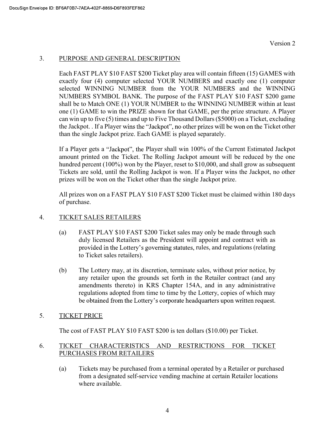# 3. PURPOSE AND GENERAL DESCRIPTION

Each FAST PLAY \$10 FAST \$200 Ticket play area will contain fifteen (15) GAMES with exactly four (4) computer selected YOUR NUMBERS and exactly one (1) computer selected WINNING NUMBER from the YOUR NUMBERS and the WINNING NUMBERS SYMBOL BANK. The purpose of the FAST PLAY \$10 FAST \$200 game shall be to Match ONE (1) YOUR NUMBER to the WINNING NUMBER within at least one (1) GAME to win the PRIZE shown for that GAME, per the prize structure. A Player can win up to five (5) times and up to Five Thousand Dollars (\$5000) on a Ticket, excluding the Jackpot. . If a Player wins the "Jackpot", no other prizes will be won on the Ticket other than the single Jackpot prize. Each GAME is played separately.

If a Player gets a "Jackpot", the Player shall win 100% of the Current Estimated Jackpot amount printed on the Ticket. The Rolling Jackpot amount will be reduced by the one hundred percent (100%) won by the Player, reset to \$10,000, and shall grow as subsequent Tickets are sold, until the Rolling Jackpot is won. If a Player wins the Jackpot, no other prizes will be won on the Ticket other than the single Jackpot prize.

All prizes won on a FAST PLAY \$10 FAST \$200 Ticket must be claimed within 180 days of purchase.

# 4. TICKET SALES RETAILERS

- (a) FAST PLAY \$10 FAST \$200 Ticket sales may only be made through such duly licensed Retailers as the President will appoint and contract with as provided in the Lottery's governing statutes, rules, and regulations (relating to Ticket sales retailers).
- (b) The Lottery may, at its discretion, terminate sales, without prior notice, by any retailer upon the grounds set forth in the Retailer contract (and any amendments thereto) in KRS Chapter 154A, and in any administrative regulations adopted from time to time by the Lottery, copies of which may be obtained from the Lottery's corporate headquarters upon written request.

# 5. TICKET PRICE

The cost of FAST PLAY \$10 FAST \$200 is ten dollars (\$10.00) per Ticket.

# 6. TICKET CHARACTERISTICS AND RESTRICTIONS FOR TICKET PURCHASES FROM RETAILERS

(a) Tickets may be purchased from a terminal operated by a Retailer or purchased from a designated self-service vending machine at certain Retailer locations where available.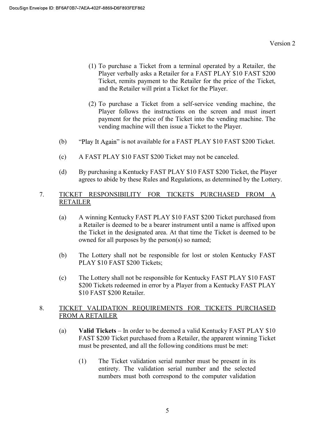- (1) To purchase a Ticket from a terminal operated by a Retailer, the Player verbally asks a Retailer for a FAST PLAY \$10 FAST \$200 Ticket, remits payment to the Retailer for the price of the Ticket, and the Retailer will print a Ticket for the Player.
- (2) To purchase a Ticket from a self-service vending machine, the Player follows the instructions on the screen and must insert payment for the price of the Ticket into the vending machine. The vending machine will then issue a Ticket to the Player.
- (b) "Play It Again" is not available for a FAST PLAY \$10 FAST \$200 Ticket.
- (c) A FAST PLAY \$10 FAST \$200 Ticket may not be canceled.
- (d) By purchasing a Kentucky FAST PLAY \$10 FAST \$200 Ticket, the Player agrees to abide by these Rules and Regulations, as determined by the Lottery.

### 7. TICKET RESPONSIBILITY FOR TICKETS PURCHASED FROM A RETAILER

- (a) A winning Kentucky FAST PLAY \$10 FAST \$200 Ticket purchased from a Retailer is deemed to be a bearer instrument until a name is affixed upon the Ticket in the designated area. At that time the Ticket is deemed to be owned for all purposes by the person(s) so named;
- (b) The Lottery shall not be responsible for lost or stolen Kentucky FAST PLAY \$10 FAST \$200 Tickets;
- (c) The Lottery shall not be responsible for Kentucky FAST PLAY \$10 FAST \$200 Tickets redeemed in error by a Player from a Kentucky FAST PLAY \$10 FAST \$200 Retailer.

### 8. TICKET VALIDATION REQUIREMENTS FOR TICKETS PURCHASED FROM A RETAILER

- (a) Valid Tickets  $-$  In order to be deemed a valid Kentucky FAST PLAY \$10 FAST \$200 Ticket purchased from a Retailer, the apparent winning Ticket must be presented, and all the following conditions must be met:
	- (1) The Ticket validation serial number must be present in its entirety. The validation serial number and the selected numbers must both correspond to the computer validation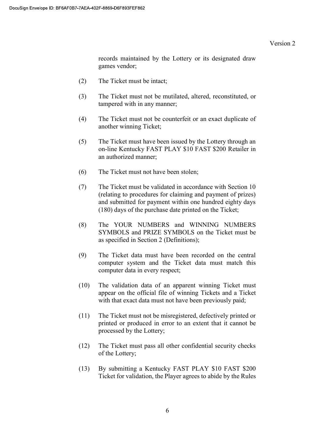records maintained by the Lottery or its designated draw games vendor;

- (2) The Ticket must be intact;
- (3) The Ticket must not be mutilated, altered, reconstituted, or tampered with in any manner;
- (4) The Ticket must not be counterfeit or an exact duplicate of another winning Ticket;
- (5) The Ticket must have been issued by the Lottery through an on-line Kentucky FAST PLAY \$10 FAST \$200 Retailer in an authorized manner;
- (6) The Ticket must not have been stolen;
- (7) The Ticket must be validated in accordance with Section 10 (relating to procedures for claiming and payment of prizes) and submitted for payment within one hundred eighty days (180) days of the purchase date printed on the Ticket;
- (8) The YOUR NUMBERS and WINNING NUMBERS SYMBOLS and PRIZE SYMBOLS on the Ticket must be as specified in Section 2 (Definitions);
- (9) The Ticket data must have been recorded on the central computer system and the Ticket data must match this computer data in every respect;
- (10) The validation data of an apparent winning Ticket must appear on the official file of winning Tickets and a Ticket with that exact data must not have been previously paid;
- (11) The Ticket must not be misregistered, defectively printed or printed or produced in error to an extent that it cannot be processed by the Lottery;
- (12) The Ticket must pass all other confidential security checks of the Lottery;
- (13) By submitting a Kentucky FAST PLAY \$10 FAST \$200 Ticket for validation, the Player agrees to abide by the Rules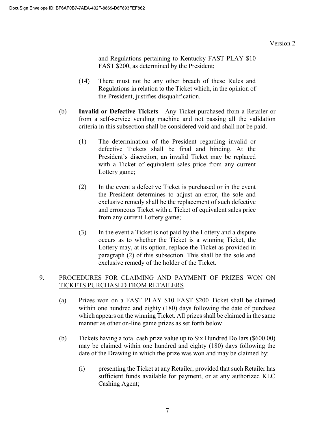and Regulations pertaining to Kentucky FAST PLAY \$10 FAST \$200, as determined by the President;

- (14) There must not be any other breach of these Rules and Regulations in relation to the Ticket which, in the opinion of the President, justifies disqualification.
- (b) Invalid or Defective Tickets Any Ticket purchased from a Retailer or from a self-service vending machine and not passing all the validation criteria in this subsection shall be considered void and shall not be paid.
	- (1) The determination of the President regarding invalid or defective Tickets shall be final and binding. At the President's discretion, an invalid Ticket may be replaced with a Ticket of equivalent sales price from any current Lottery game;
	- (2) In the event a defective Ticket is purchased or in the event the President determines to adjust an error, the sole and exclusive remedy shall be the replacement of such defective and erroneous Ticket with a Ticket of equivalent sales price from any current Lottery game;
	- (3) In the event a Ticket is not paid by the Lottery and a dispute occurs as to whether the Ticket is a winning Ticket, the Lottery may, at its option, replace the Ticket as provided in paragraph (2) of this subsection. This shall be the sole and exclusive remedy of the holder of the Ticket.

# 9. PROCEDURES FOR CLAIMING AND PAYMENT OF PRIZES WON ON TICKETS PURCHASED FROM RETAILERS

- (a) Prizes won on a FAST PLAY \$10 FAST \$200 Ticket shall be claimed within one hundred and eighty (180) days following the date of purchase which appears on the winning Ticket. All prizes shall be claimed in the same manner as other on-line game prizes as set forth below.
- (b) Tickets having a total cash prize value up to Six Hundred Dollars (\$600.00) may be claimed within one hundred and eighty (180) days following the date of the Drawing in which the prize was won and may be claimed by:
	- (i) presenting the Ticket at any Retailer, provided that such Retailer has sufficient funds available for payment, or at any authorized KLC Cashing Agent;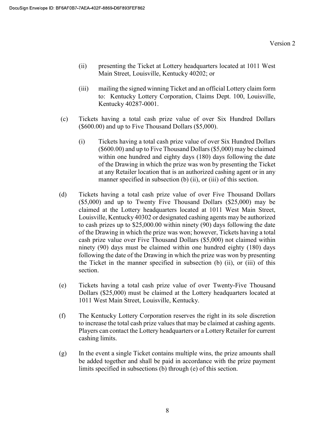- (ii) presenting the Ticket at Lottery headquarters located at 1011 West Main Street, Louisville, Kentucky 40202; or
- (iii) mailing the signed winning Ticket and an official Lottery claim form to: Kentucky Lottery Corporation, Claims Dept. 100, Louisville, Kentucky 40287-0001.
- (c) Tickets having a total cash prize value of over Six Hundred Dollars (\$600.00) and up to Five Thousand Dollars (\$5,000).
	- (i) Tickets having a total cash prize value of over Six Hundred Dollars (\$600.00) and up to Five Thousand Dollars (\$5,000) may be claimed within one hundred and eighty days (180) days following the date of the Drawing in which the prize was won by presenting the Ticket at any Retailer location that is an authorized cashing agent or in any manner specified in subsection (b) (ii), or (iii) of this section.
- (d) Tickets having a total cash prize value of over Five Thousand Dollars (\$5,000) and up to Twenty Five Thousand Dollars (\$25,000) may be claimed at the Lottery headquarters located at 1011 West Main Street, Louisville, Kentucky 40302 or designated cashing agents may be authorized to cash prizes up to \$25,000.00 within ninety (90) days following the date of the Drawing in which the prize was won; however, Tickets having a total cash prize value over Five Thousand Dollars (\$5,000) not claimed within ninety (90) days must be claimed within one hundred eighty (180) days following the date of the Drawing in which the prize was won by presenting the Ticket in the manner specified in subsection (b) (ii), or (iii) of this section.
- (e) Tickets having a total cash prize value of over Twenty-Five Thousand Dollars (\$25,000) must be claimed at the Lottery headquarters located at 1011 West Main Street, Louisville, Kentucky.
- (f) The Kentucky Lottery Corporation reserves the right in its sole discretion to increase the total cash prize values that may be claimed at cashing agents. Players can contact the Lottery headquarters or a Lottery Retailer for current cashing limits.
- (g) In the event a single Ticket contains multiple wins, the prize amounts shall be added together and shall be paid in accordance with the prize payment limits specified in subsections (b) through (e) of this section.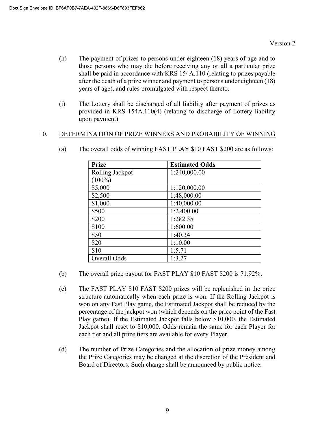- (h) The payment of prizes to persons under eighteen (18) years of age and to those persons who may die before receiving any or all a particular prize shall be paid in accordance with KRS 154A.110 (relating to prizes payable after the death of a prize winner and payment to persons under eighteen (18) years of age), and rules promulgated with respect thereto.
- (i) The Lottery shall be discharged of all liability after payment of prizes as provided in KRS 154A.110(4) (relating to discharge of Lottery liability upon payment).

#### 10. DETERMINATION OF PRIZE WINNERS AND PROBABILITY OF WINNING

| <b>Prize</b>    | <b>Estimated Odds</b> |
|-----------------|-----------------------|
| Rolling Jackpot | 1:240,000.00          |
| $(100\%)$       |                       |
| \$5,000         | 1:120,000.00          |
| \$2,500         | 1:48,000.00           |
| \$1,000         | 1:40,000.00           |
| \$500           | 1:2,400.00            |
| \$200           | 1:282.35              |
| \$100           | 1:600.00              |
| \$50            | 1:40.34               |
| \$20            | 1:10.00               |
| \$10            | 1:5.71                |
| Overall Odds    | 1:3.27                |

(a) The overall odds of winning FAST PLAY \$10 FAST \$200 are as follows:

- (b) The overall prize payout for FAST PLAY \$10 FAST \$200 is 71.92%.
- (c) The FAST PLAY \$10 FAST \$200 prizes will be replenished in the prize structure automatically when each prize is won. If the Rolling Jackpot is won on any Fast Play game, the Estimated Jackpot shall be reduced by the percentage of the jackpot won (which depends on the price point of the Fast Play game). If the Estimated Jackpot falls below \$10,000, the Estimated Jackpot shall reset to \$10,000. Odds remain the same for each Player for each tier and all prize tiers are available for every Player.
- (d) The number of Prize Categories and the allocation of prize money among the Prize Categories may be changed at the discretion of the President and Board of Directors. Such change shall be announced by public notice.